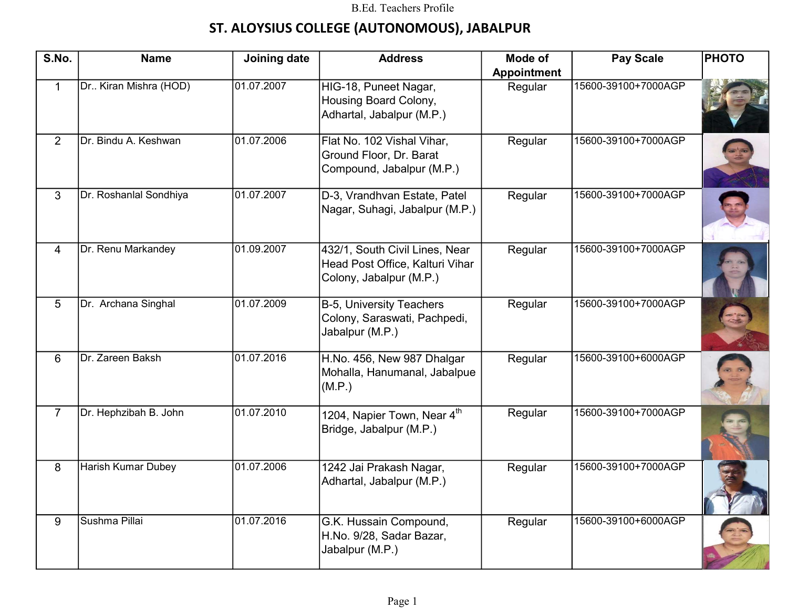## ST. ALOYSIUS COLLEGE (AUTONOMOUS), JABALPUR

| S.No.          | <b>Name</b>            | Joining date | <b>Address</b>                                                                               | Mode of            | <b>Pay Scale</b>    | <b>PHOTO</b> |
|----------------|------------------------|--------------|----------------------------------------------------------------------------------------------|--------------------|---------------------|--------------|
|                |                        |              |                                                                                              | <b>Appointment</b> |                     |              |
| $\mathbf{1}$   | Dr Kiran Mishra (HOD)  | 01.07.2007   | HIG-18, Puneet Nagar,<br>Housing Board Colony,<br>Adhartal, Jabalpur (M.P.)                  | Regular            | 15600-39100+7000AGP |              |
| $\overline{2}$ | Dr. Bindu A. Keshwan   | 01.07.2006   | Flat No. 102 Vishal Vihar,<br>Ground Floor, Dr. Barat<br>Compound, Jabalpur (M.P.)           | Regular            | 15600-39100+7000AGP |              |
| 3              | Dr. Roshanlal Sondhiya | 01.07.2007   | D-3, Vrandhvan Estate, Patel<br>Nagar, Suhagi, Jabalpur (M.P.)                               | Regular            | 15600-39100+7000AGP |              |
| $\overline{4}$ | Dr. Renu Markandey     | 01.09.2007   | 432/1, South Civil Lines, Near<br>Head Post Office, Kalturi Vihar<br>Colony, Jabalpur (M.P.) | Regular            | 15600-39100+7000AGP |              |
| 5              | Dr. Archana Singhal    | 01.07.2009   | B-5, University Teachers<br>Colony, Saraswati, Pachpedi,<br>Jabalpur (M.P.)                  | Regular            | 15600-39100+7000AGP |              |
| 6              | Dr. Zareen Baksh       | 01.07.2016   | H.No. 456, New 987 Dhalgar<br>Mohalla, Hanumanal, Jabalpue<br>(M.P.)                         | Regular            | 15600-39100+6000AGP |              |
| $\overline{7}$ | Dr. Hephzibah B. John  | 01.07.2010   | 1204, Napier Town, Near 4th<br>Bridge, Jabalpur (M.P.)                                       | Regular            | 15600-39100+7000AGP |              |
| 8              | Harish Kumar Dubey     | 01.07.2006   | 1242 Jai Prakash Nagar,<br>Adhartal, Jabalpur (M.P.)                                         | Regular            | 15600-39100+7000AGP |              |
| 9              | Sushma Pillai          | 01.07.2016   | G.K. Hussain Compound,<br>H.No. 9/28, Sadar Bazar,<br>Jabalpur (M.P.)                        | Regular            | 15600-39100+6000AGP |              |